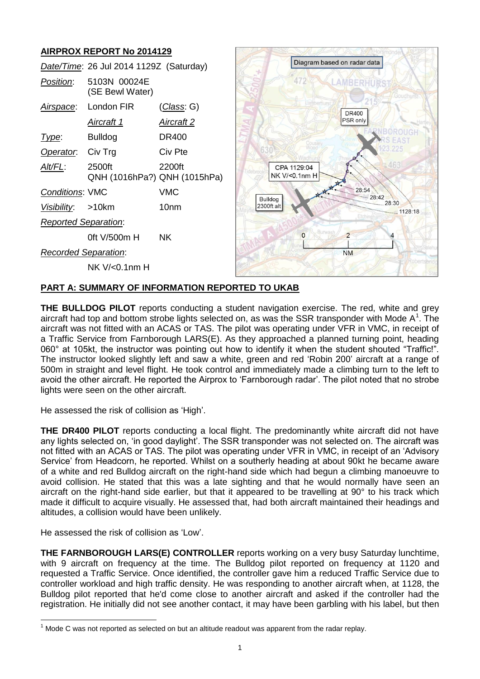# **AIRPROX REPORT No 2014129**

|                             | Date/Time: 26 Jul 2014 1129Z (Saturday) |            |
|-----------------------------|-----------------------------------------|------------|
| <i>Position</i> :           | 5103N 00024E<br>(SE Bewl Water)         |            |
|                             | Airspace: London FIR                    | (Class: G) |
|                             | Aircraft 1                              | Aircraft 2 |
| Type:                       | <b>Bulldog</b>                          | DR400      |
| Operator. Civ Trg           |                                         | Civ Pte    |
| <u>AIt/FL:</u>              | 2500ft<br>QNH (1016hPa?) QNH (1015hPa)  | 2200ft     |
| <b>Conditions: VMC</b>      |                                         | VMC        |
| Visibility: >10km           |                                         | 10nm       |
| <b>Reported Separation:</b> |                                         |            |
|                             | 0ft V/500m H                            | <b>NK</b>  |
| <b>Recorded Separation:</b> |                                         |            |
|                             | NK V/<0.1nm H                           |            |



## **PART A: SUMMARY OF INFORMATION REPORTED TO UKAB**

**THE BULLDOG PILOT** reports conducting a student navigation exercise. The red, white and grey aircraft had top and bottom strobe lights selected on, as was the SSR transponder with Mode  $A^1$ . The aircraft was not fitted with an ACAS or TAS. The pilot was operating under VFR in VMC, in receipt of a Traffic Service from Farnborough LARS(E). As they approached a planned turning point, heading 060° at 105kt, the instructor was pointing out how to identify it when the student shouted "Traffic!". The instructor looked slightly left and saw a white, green and red 'Robin 200' aircraft at a range of 500m in straight and level flight. He took control and immediately made a climbing turn to the left to avoid the other aircraft. He reported the Airprox to 'Farnborough radar'. The pilot noted that no strobe lights were seen on the other aircraft.

He assessed the risk of collision as 'High'.

**THE DR400 PILOT** reports conducting a local flight. The predominantly white aircraft did not have any lights selected on, 'in good daylight'. The SSR transponder was not selected on. The aircraft was not fitted with an ACAS or TAS. The pilot was operating under VFR in VMC, in receipt of an 'Advisory Service' from Headcorn, he reported. Whilst on a southerly heading at about 90kt he became aware of a white and red Bulldog aircraft on the right-hand side which had begun a climbing manoeuvre to avoid collision. He stated that this was a late sighting and that he would normally have seen an aircraft on the right-hand side earlier, but that it appeared to be travelling at 90° to his track which made it difficult to acquire visually. He assessed that, had both aircraft maintained their headings and altitudes, a collision would have been unlikely.

He assessed the risk of collision as 'Low'.

 $\overline{a}$ 

**THE FARNBOROUGH LARS(E) CONTROLLER** reports working on a very busy Saturday lunchtime, with 9 aircraft on frequency at the time. The Bulldog pilot reported on frequency at 1120 and requested a Traffic Service. Once identified, the controller gave him a reduced Traffic Service due to controller workload and high traffic density. He was responding to another aircraft when, at 1128, the Bulldog pilot reported that he'd come close to another aircraft and asked if the controller had the registration. He initially did not see another contact, it may have been garbling with his label, but then

 $1$  Mode C was not reported as selected on but an altitude readout was apparent from the radar replay.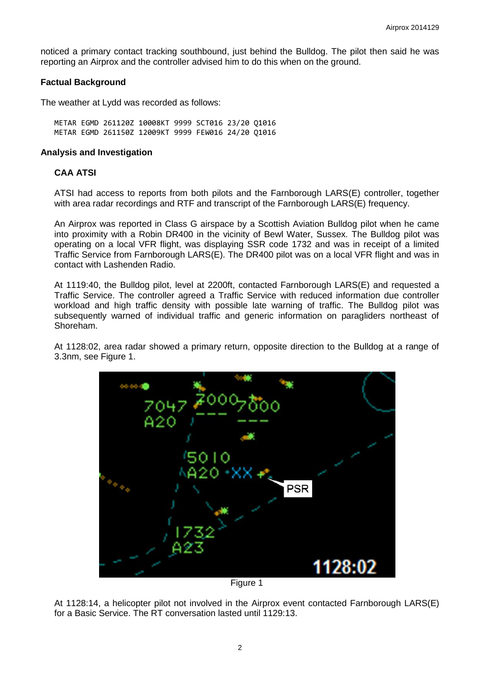noticed a primary contact tracking southbound, just behind the Bulldog. The pilot then said he was reporting an Airprox and the controller advised him to do this when on the ground.

### **Factual Background**

The weather at Lydd was recorded as follows:

METAR EGMD 261120Z 10008KT 9999 SCT016 23/20 Q1016 METAR EGMD 261150Z 12009KT 9999 FEW016 24/20 Q1016

#### **Analysis and Investigation**

#### **CAA ATSI**

ATSI had access to reports from both pilots and the Farnborough LARS(E) controller, together with area radar recordings and RTF and transcript of the Farnborough LARS(E) frequency.

An Airprox was reported in Class G airspace by a Scottish Aviation Bulldog pilot when he came into proximity with a Robin DR400 in the vicinity of Bewl Water, Sussex. The Bulldog pilot was operating on a local VFR flight, was displaying SSR code 1732 and was in receipt of a limited Traffic Service from Farnborough LARS(E). The DR400 pilot was on a local VFR flight and was in contact with Lashenden Radio.

At 1119:40, the Bulldog pilot, level at 2200ft, contacted Farnborough LARS(E) and requested a Traffic Service. The controller agreed a Traffic Service with reduced information due controller workload and high traffic density with possible late warning of traffic. The Bulldog pilot was subsequently warned of individual traffic and generic information on paragliders northeast of Shoreham.

At 1128:02, area radar showed a primary return, opposite direction to the Bulldog at a range of 3.3nm, see Figure 1.



Figure 1

At 1128:14, a helicopter pilot not involved in the Airprox event contacted Farnborough LARS(E) for a Basic Service. The RT conversation lasted until 1129:13.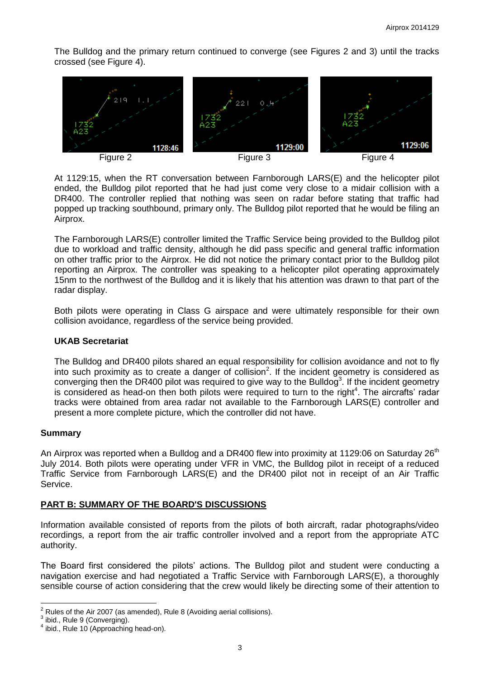The Bulldog and the primary return continued to converge (see Figures 2 and 3) until the tracks crossed (see Figure 4).





At 1129:15, when the RT conversation between Farnborough LARS(E) and the helicopter pilot ended, the Bulldog pilot reported that he had just come very close to a midair collision with a DR400. The controller replied that nothing was seen on radar before stating that traffic had popped up tracking southbound, primary only. The Bulldog pilot reported that he would be filing an Airprox.

The Farnborough LARS(E) controller limited the Traffic Service being provided to the Bulldog pilot due to workload and traffic density, although he did pass specific and general traffic information on other traffic prior to the Airprox. He did not notice the primary contact prior to the Bulldog pilot reporting an Airprox. The controller was speaking to a helicopter pilot operating approximately 15nm to the northwest of the Bulldog and it is likely that his attention was drawn to that part of the radar display.

Both pilots were operating in Class G airspace and were ultimately responsible for their own collision avoidance, regardless of the service being provided.

## **UKAB Secretariat**

The Bulldog and DR400 pilots shared an equal responsibility for collision avoidance and not to fly into such proximity as to create a danger of collision<sup>2</sup>. If the incident geometry is considered as converging then the DR400 pilot was required to give way to the Bulldog<sup>3</sup>. If the incident geometry is considered as head-on then both pilots were required to turn to the right<sup>4</sup>. The aircrafts' radar tracks were obtained from area radar not available to the Farnborough LARS(E) controller and present a more complete picture, which the controller did not have.

## **Summary**

An Airprox was reported when a Bulldog and a DR400 flew into proximity at 1129:06 on Saturday  $26<sup>th</sup>$ July 2014. Both pilots were operating under VFR in VMC, the Bulldog pilot in receipt of a reduced Traffic Service from Farnborough LARS(E) and the DR400 pilot not in receipt of an Air Traffic Service.

## **PART B: SUMMARY OF THE BOARD'S DISCUSSIONS**

Information available consisted of reports from the pilots of both aircraft, radar photographs/video recordings, a report from the air traffic controller involved and a report from the appropriate ATC authority.

The Board first considered the pilots' actions. The Bulldog pilot and student were conducting a navigation exercise and had negotiated a Traffic Service with Farnborough LARS(E), a thoroughly sensible course of action considering that the crew would likely be directing some of their attention to

 $\overline{a}$ 

<sup>2</sup> Rules of the Air 2007 (as amended), Rule 8 (Avoiding aerial collisions).

 $3$  ibid., Rule 9 (Converging).

<sup>&</sup>lt;sup>4</sup> ibid., Rule 10 (Approaching head-on).